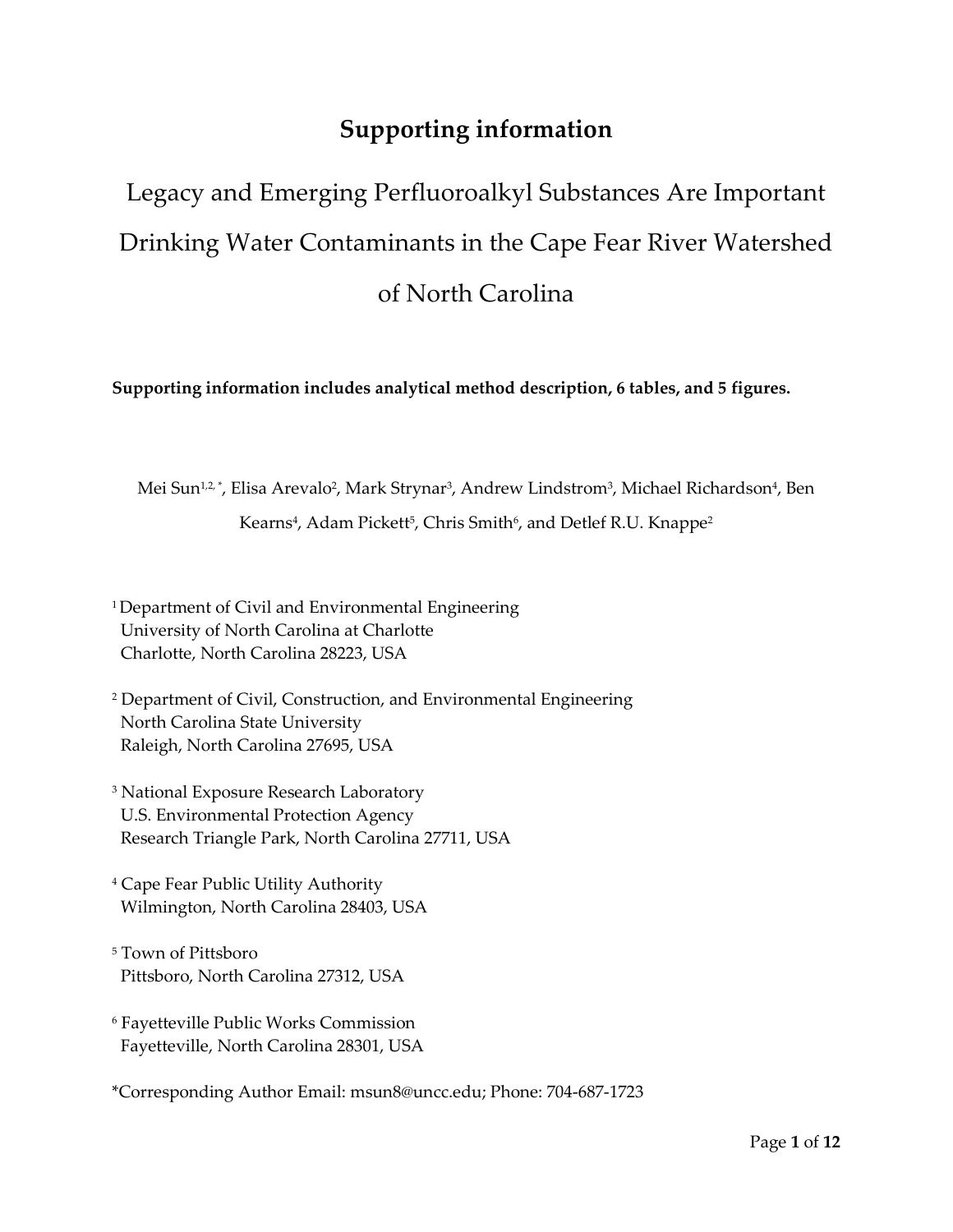## **Supporting information**

# Legacy and Emerging Perfluoroalkyl Substances Are Important Drinking Water Contaminants in the Cape Fear River Watershed of North Carolina

**Supporting information includes analytical method description, 6 tables, and 5 figures.** 

Mei Sun½\*, Elisa Arevalo<sup>2</sup>, Mark Strynar<sup>3</sup>, Andrew Lindstrom<sup>3</sup>, Michael Richardson<sup>4</sup>, Ben Kearns<sup>4</sup>, Adam Pickett<sup>5</sup>, Chris Smith<sup>6</sup>, and Detlef R.U. Knappe<sup>2</sup>

<sup>1</sup>Department of Civil and Environmental Engineering University of North Carolina at Charlotte Charlotte, North Carolina 28223, USA

- 2 Department of Civil, Construction, and Environmental Engineering North Carolina State University Raleigh, North Carolina 27695, USA
- 3 National Exposure Research Laboratory U.S. Environmental Protection Agency Research Triangle Park, North Carolina 27711, USA
- 4 Cape Fear Public Utility Authority Wilmington, North Carolina 28403, USA

5 Town of Pittsboro Pittsboro, North Carolina 27312, USA

- 6 Fayetteville Public Works Commission Fayetteville, North Carolina 28301, USA
- \*Corresponding Author Email: msun8@uncc.edu; Phone: 704-687-1723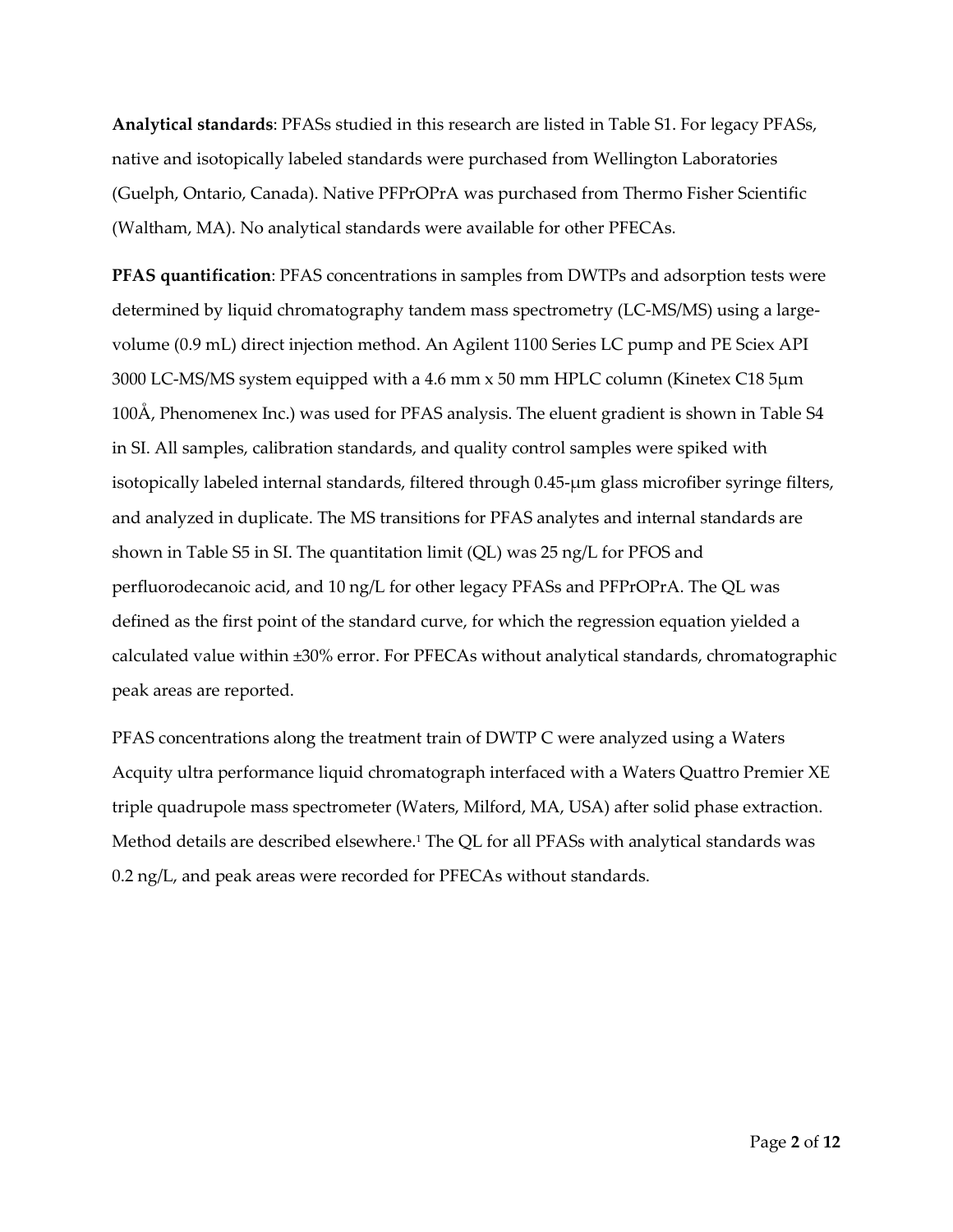**Analytical standards**: PFASs studied in this research are listed in Table S1. For legacy PFASs, native and isotopically labeled standards were purchased from Wellington Laboratories (Guelph, Ontario, Canada). Native PFPrOPrA was purchased from Thermo Fisher Scientific (Waltham, MA). No analytical standards were available for other PFECAs.

**PFAS quantification**: PFAS concentrations in samples from DWTPs and adsorption tests were determined by liquid chromatography tandem mass spectrometry (LC-MS/MS) using a largevolume (0.9 mL) direct injection method. An Agilent 1100 Series LC pump and PE Sciex API 3000 LC-MS/MS system equipped with a 4.6 mm x 50 mm HPLC column (Kinetex C18 5µm 100Å, Phenomenex Inc.) was used for PFAS analysis. The eluent gradient is shown in Table S4 in SI. All samples, calibration standards, and quality control samples were spiked with isotopically labeled internal standards, filtered through 0.45-µm glass microfiber syringe filters, and analyzed in duplicate. The MS transitions for PFAS analytes and internal standards are shown in Table S5 in SI. The quantitation limit (QL) was 25 ng/L for PFOS and perfluorodecanoic acid, and 10 ng/L for other legacy PFASs and PFPrOPrA. The QL was defined as the first point of the standard curve, for which the regression equation yielded a calculated value within ±30% error. For PFECAs without analytical standards, chromatographic peak areas are reported.

PFAS concentrations along the treatment train of DWTP C were analyzed using a Waters Acquity ultra performance liquid chromatograph interfaced with a Waters Quattro Premier XE triple quadrupole mass spectrometer (Waters, Milford, MA, USA) after solid phase extraction. Method details are described elsewhere.<sup>1</sup> The QL for all PFASs with analytical standards was 0.2 ng/L, and peak areas were recorded for PFECAs without standards.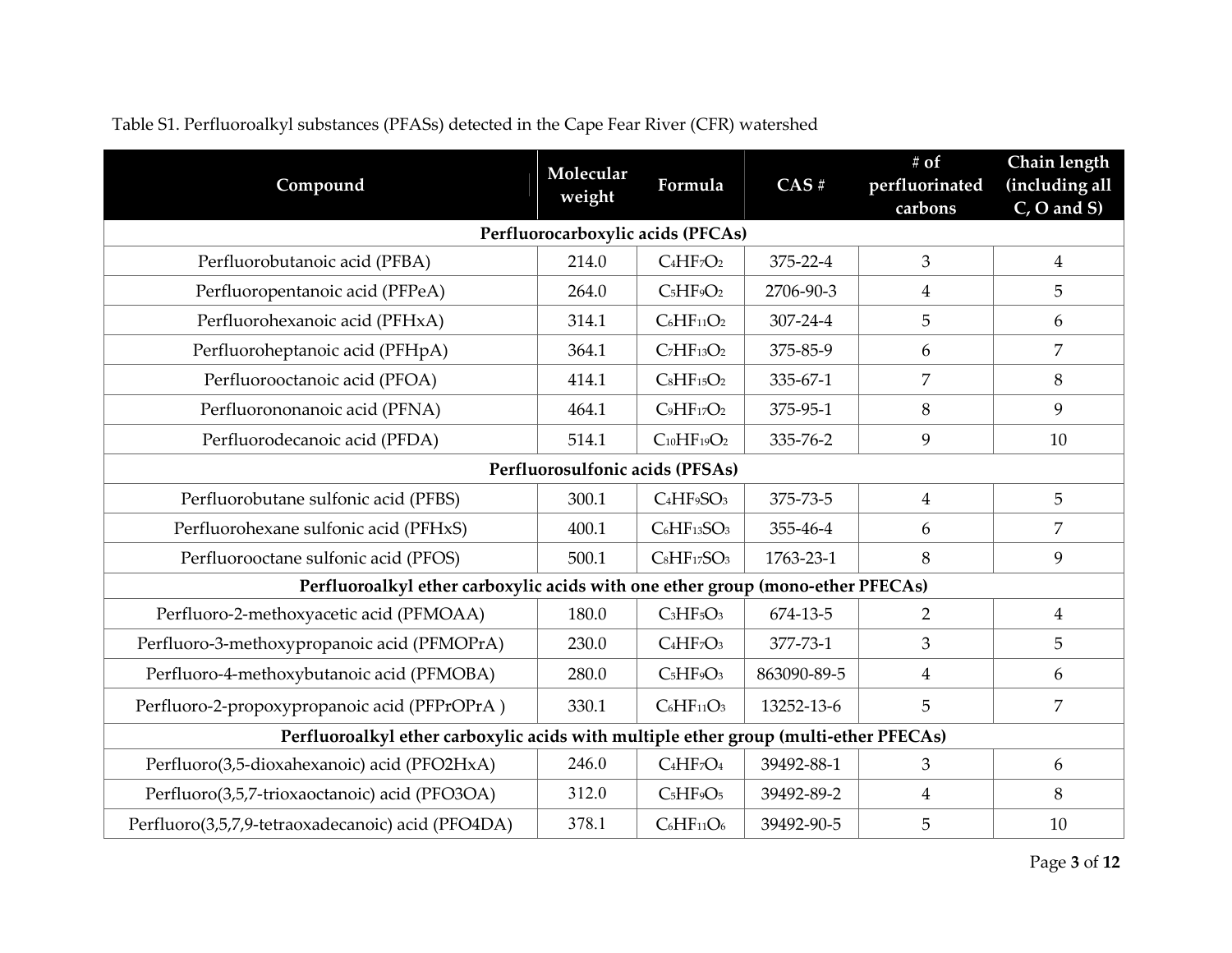| Compound                                                                             | Molecular<br>weight | Formula                                         | CAS#        | # of<br>perfluorinated | Chain length<br>(including all |  |  |  |  |  |
|--------------------------------------------------------------------------------------|---------------------|-------------------------------------------------|-------------|------------------------|--------------------------------|--|--|--|--|--|
|                                                                                      |                     |                                                 |             | carbons                | $C$ , O and S)                 |  |  |  |  |  |
| Perfluorocarboxylic acids (PFCAs)                                                    |                     |                                                 |             |                        |                                |  |  |  |  |  |
| Perfluorobutanoic acid (PFBA)                                                        | 214.0               | $C_4HF_7O_2$                                    | 375-22-4    | 3                      | $\overline{4}$                 |  |  |  |  |  |
| Perfluoropentanoic acid (PFPeA)                                                      | 264.0               | $C_5HF_9O_2$                                    | 2706-90-3   | $\overline{4}$         | 5                              |  |  |  |  |  |
| Perfluorohexanoic acid (PFHxA)                                                       | 314.1               | $C_6HF_{11}O_2$                                 | 307-24-4    | 5                      | 6                              |  |  |  |  |  |
| Perfluoroheptanoic acid (PFHpA)                                                      | 364.1               | $C7HF13O2$                                      | 375-85-9    | 6                      | 7                              |  |  |  |  |  |
| Perfluorooctanoic acid (PFOA)                                                        | 414.1               | $C_8HF_15O_2$                                   | 335-67-1    | $\overline{7}$         | 8                              |  |  |  |  |  |
| Perfluorononanoic acid (PFNA)                                                        | 464.1               | $C_9HF_{17}O_2$                                 | 375-95-1    | $\,8\,$                | 9                              |  |  |  |  |  |
| Perfluorodecanoic acid (PFDA)                                                        | 514.1               | $C_{10}HF_19O_2$                                | 335-76-2    | 9                      | 10                             |  |  |  |  |  |
|                                                                                      |                     | Perfluorosulfonic acids (PFSAs)                 |             |                        |                                |  |  |  |  |  |
| Perfluorobutane sulfonic acid (PFBS)                                                 | 300.1               | C <sub>4</sub> HF <sub>9</sub> SO <sub>3</sub>  | 375-73-5    | $\overline{4}$         | $\overline{5}$                 |  |  |  |  |  |
| Perfluorohexane sulfonic acid (PFHxS)                                                | 400.1               | C <sub>6</sub> HF <sub>13</sub> SO <sub>3</sub> | 355-46-4    | 6                      | 7                              |  |  |  |  |  |
| Perfluorooctane sulfonic acid (PFOS)                                                 | 500.1               | $C_8HF_{17}SO_3$                                | 1763-23-1   | 8                      | 9                              |  |  |  |  |  |
| Perfluoroalkyl ether carboxylic acids with one ether group (mono-ether PFECAs)       |                     |                                                 |             |                        |                                |  |  |  |  |  |
| Perfluoro-2-methoxyacetic acid (PFMOAA)                                              | 180.0               | $C3HF5O3$                                       | 674-13-5    | $\overline{2}$         | $\overline{4}$                 |  |  |  |  |  |
| Perfluoro-3-methoxypropanoic acid (PFMOPrA)                                          | 230.0               | $C_4HF_7O_3$                                    | 377-73-1    | 3                      | $\overline{5}$                 |  |  |  |  |  |
| Perfluoro-4-methoxybutanoic acid (PFMOBA)                                            | 280.0               | $C_5HF_9O_3$                                    | 863090-89-5 | $\overline{4}$         | 6                              |  |  |  |  |  |
| Perfluoro-2-propoxypropanoic acid (PFPrOPrA)                                         | 330.1               | $C_6HF_{11}O_3$                                 | 13252-13-6  | 5                      | 7                              |  |  |  |  |  |
| Perfluoroalkyl ether carboxylic acids with multiple ether group (multi-ether PFECAs) |                     |                                                 |             |                        |                                |  |  |  |  |  |
| Perfluoro(3,5-dioxahexanoic) acid (PFO2HxA)                                          | 246.0               | $C_4HF_7O_4$                                    | 39492-88-1  | $\overline{3}$         | 6                              |  |  |  |  |  |
| Perfluoro(3,5,7-trioxaoctanoic) acid (PFO3OA)                                        | 312.0               | C <sub>5</sub> HF <sub>9</sub> O <sub>5</sub>   | 39492-89-2  | $\overline{4}$         | 8                              |  |  |  |  |  |
| Perfluoro(3,5,7,9-tetraoxadecanoic) acid (PFO4DA)                                    | 378.1               | $C_6HF_{11}O_6$                                 | 39492-90-5  | 5                      | $10\,$                         |  |  |  |  |  |

## Table S1. Perfluoroalkyl substances (PFASs) detected in the Cape Fear River (CFR) watershed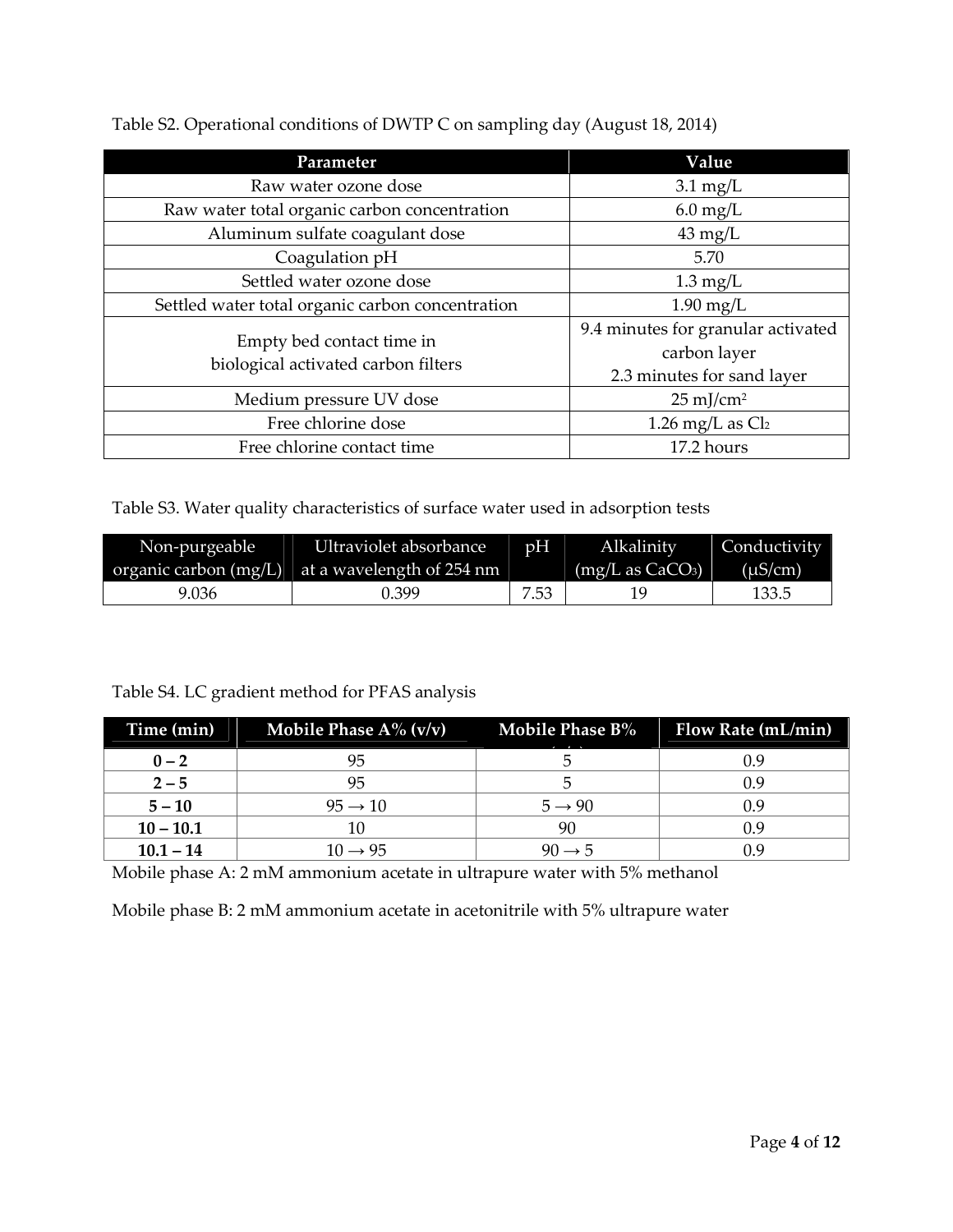| Parameter                                                        | Value                                                                            |
|------------------------------------------------------------------|----------------------------------------------------------------------------------|
| Raw water ozone dose                                             | $3.1 \text{ mg/L}$                                                               |
| Raw water total organic carbon concentration                     | $6.0 \,\mathrm{mg/L}$                                                            |
| Aluminum sulfate coagulant dose                                  | $43 \text{ mg/L}$                                                                |
| Coagulation pH                                                   | 5.70                                                                             |
| Settled water ozone dose                                         | $1.3 \text{ mg/L}$                                                               |
| Settled water total organic carbon concentration                 | $1.90$ mg/L                                                                      |
| Empty bed contact time in<br>biological activated carbon filters | 9.4 minutes for granular activated<br>carbon layer<br>2.3 minutes for sand layer |
| Medium pressure UV dose                                          | $25 \text{ mJ/cm}^2$                                                             |
| Free chlorine dose                                               | 1.26 mg/L as $Cl2$                                                               |
| Free chlorine contact time                                       | 17.2 hours                                                                       |

Table S2. Operational conditions of DWTP C on sampling day (August 18, 2014)

Table S3. Water quality characteristics of surface water used in adsorption tests

| Non-purgeable | Ultraviolet absorbance<br>organic carbon (mg/L) at a wavelength of 254 nm | pH   | Alkalinity<br>$(mg/L \text{ as } CaCO3)$ | Conductivity<br>$(\mu S/cm)$ |
|---------------|---------------------------------------------------------------------------|------|------------------------------------------|------------------------------|
| 9.036         | 1.399                                                                     | 7.53 |                                          | 133.5                        |

### Table S4. LC gradient method for PFAS analysis

| Time (min)  | Mobile Phase $A\%$ (v/v) | <b>Mobile Phase B%</b><br>$\sim$ $\sim$ | Flow Rate (mL/min) |
|-------------|--------------------------|-----------------------------------------|--------------------|
| $0 - 2$     |                          |                                         |                    |
| $2 - 5$     | 95                       |                                         | 0.9                |
| $5 - 10$    | $95 \rightarrow 10$      | $5 \rightarrow 90$                      | 0.9                |
| $10 - 10.1$ |                          | 90                                      | 0.9                |
| $10.1 - 14$ | $10 \rightarrow 95$      | $40 \rightarrow h$                      |                    |

Mobile phase A: 2 mM ammonium acetate in ultrapure water with 5% methanol

Mobile phase B: 2 mM ammonium acetate in acetonitrile with 5% ultrapure water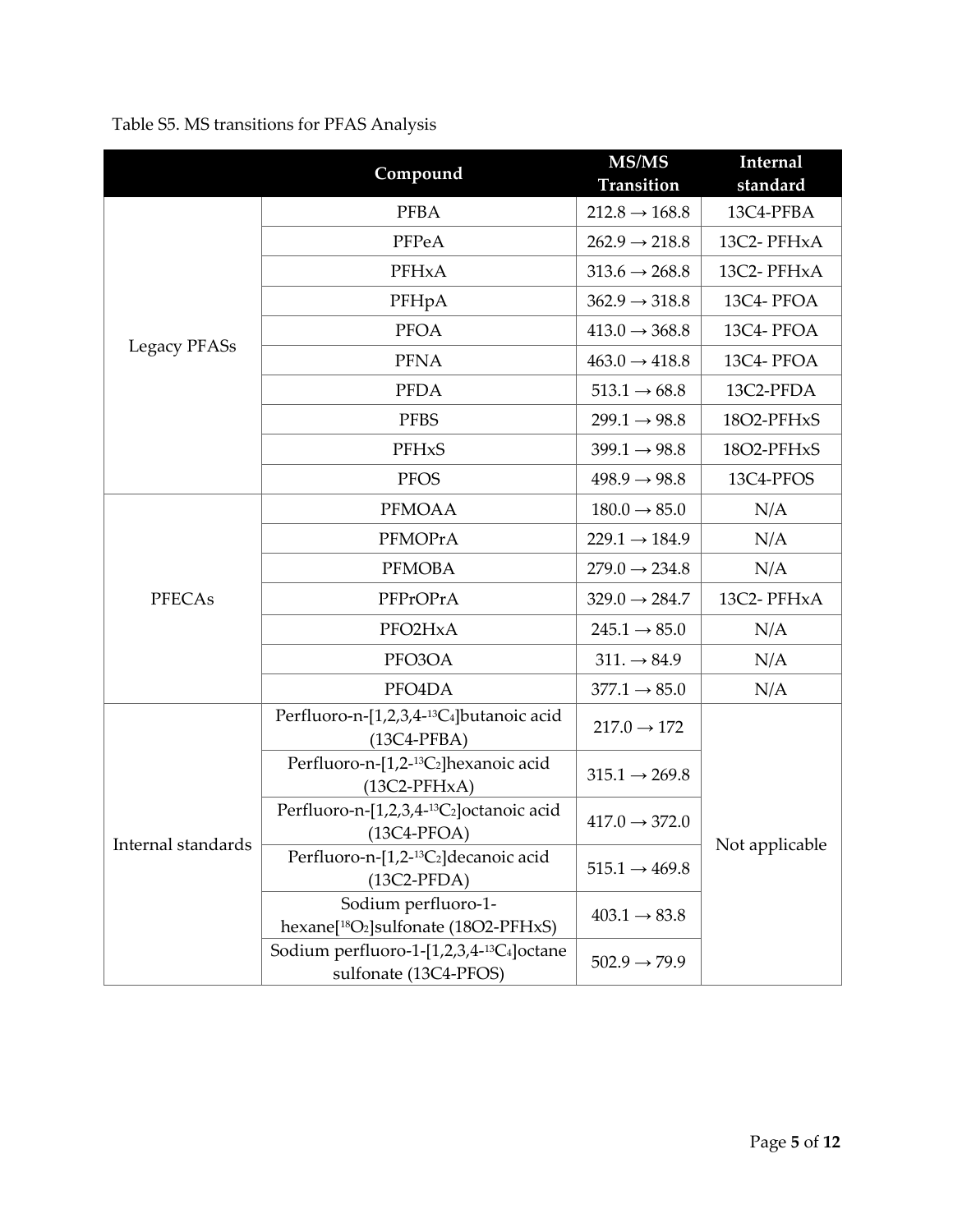Table S5. MS transitions for PFAS Analysis

|                               | Compound                                                                            | MS/MS                     | Internal       |
|-------------------------------|-------------------------------------------------------------------------------------|---------------------------|----------------|
|                               |                                                                                     | Transition                | standard       |
|                               | <b>PFBA</b>                                                                         | $212.8 \rightarrow 168.8$ | 13C4-PFBA      |
|                               | PFPeA                                                                               | $262.9 \rightarrow 218.8$ | 13C2-PFHxA     |
| Legacy PFASs<br><b>PFECAs</b> | PFHxA                                                                               | $313.6 \rightarrow 268.8$ | 13C2-PFHxA     |
|                               | PFHpA                                                                               | $362.9 \rightarrow 318.8$ | 13C4-PFOA      |
|                               | <b>PFOA</b>                                                                         | $413.0 \rightarrow 368.8$ | 13C4-PFOA      |
|                               | <b>PFNA</b>                                                                         | $463.0 \rightarrow 418.8$ | 13C4-PFOA      |
|                               | <b>PFDA</b>                                                                         | $513.1 \rightarrow 68.8$  | 13C2-PFDA      |
|                               | <b>PFBS</b>                                                                         | $299.1 \rightarrow 98.8$  | 18O2-PFHxS     |
|                               | PFHxS                                                                               | $399.1 \rightarrow 98.8$  | 18O2-PFHxS     |
|                               | <b>PFOS</b>                                                                         | $498.9 \rightarrow 98.8$  | 13C4-PFOS      |
|                               | <b>PFMOAA</b>                                                                       | $180.0 \rightarrow 85.0$  | N/A            |
|                               | PFMOPrA                                                                             | $229.1 \rightarrow 184.9$ | N/A            |
|                               | <b>PFMOBA</b>                                                                       | $279.0 \rightarrow 234.8$ | N/A            |
|                               | PFPrOPrA                                                                            | $329.0 \rightarrow 284.7$ | 13C2-PFHxA     |
|                               | PFO2HxA                                                                             | $245.1 \rightarrow 85.0$  | N/A            |
|                               | PFO3OA                                                                              | $311. \rightarrow 84.9$   | N/A            |
|                               | PFO4DA                                                                              | $377.1 \rightarrow 85.0$  | N/A            |
|                               | Perfluoro-n-[1,2,3,4- <sup>13</sup> C <sub>4</sub> ]butanoic acid<br>$(13C4-PFBA)$  | $217.0 \rightarrow 172$   |                |
| Internal standards            | Perfluoro-n-[1,2- <sup>13</sup> C <sub>2</sub> ] hexanoic acid<br>$(13C2-PFHxA)$    | $315.1 \rightarrow 269.8$ | Not applicable |
|                               | Perfluoro-n-[1,2,3,4-13C2]octanoic acid<br>$(13C4-PFOA)$                            | $417.0 \rightarrow 372.0$ |                |
|                               | Perfluoro-n-[1,2- <sup>13</sup> C <sub>2</sub> ] decanoic acid<br>$(13C2-PFDA)$     | $515.1 \rightarrow 469.8$ |                |
|                               | Sodium perfluoro-1-<br>hexane[ <sup>18</sup> O <sub>2</sub> ]sulfonate (18O2-PFHxS) | $403.1 \rightarrow 83.8$  |                |
|                               | Sodium perfluoro-1-[1,2,3,4-13C <sub>4</sub> ]octane<br>sulfonate (13C4-PFOS)       | $502.9 \rightarrow 79.9$  |                |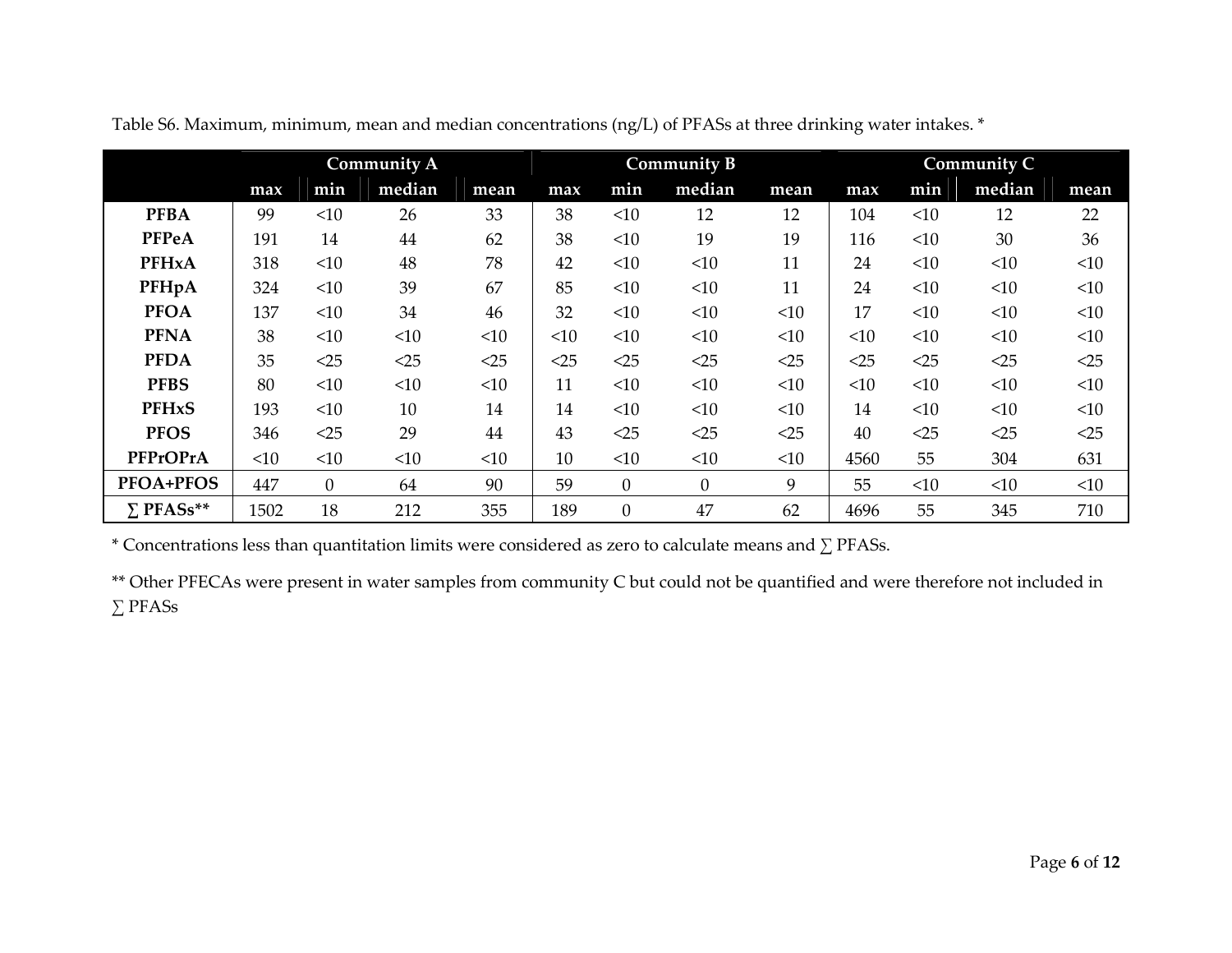|                  | <b>Community A</b> |                  |        |      |        | <b>Community B</b> |                  |        | Community C |        |        |        |
|------------------|--------------------|------------------|--------|------|--------|--------------------|------------------|--------|-------------|--------|--------|--------|
|                  | max                | min              | median | mean | max    | min                | median           | mean   | max         | min    | median | mean   |
| <b>PFBA</b>      | 99                 | <10              | 26     | 33   | 38     | <10                | 12               | 12     | 104         | <10    | 12     | 22     |
| <b>PFPeA</b>     | 191                | 14               | 44     | 62   | 38     | <10                | 19               | 19     | 116         | <10    | 30     | 36     |
| <b>PFHxA</b>     | 318                | <10              | 48     | 78   | 42     | <10                | <10              | 11     | 24          | <10    | <10    | <10    |
| PFHpA            | 324                | <10              | 39     | 67   | 85     | <10                | <10              | 11     | 24          | <10    | <10    | <10    |
| <b>PFOA</b>      | 137                | <10              | 34     | 46   | 32     | <10                | <10              | <10    | 17          | <10    | <10    | <10    |
| <b>PFNA</b>      | 38                 | <10              | <10    | <10  | <10    | <10                | <10              | <10    | <10         | <10    | <10    | <10    |
| <b>PFDA</b>      | 35                 | $<$ 25           | $<$ 25 | <25  | $<$ 25 | $<$ 25             | $<$ 25           | $<$ 25 | $<$ 25      | $<$ 25 | <25    | $<$ 25 |
| <b>PFBS</b>      | 80                 | <10              | <10    | <10  | 11     | <10                | <10              | <10    | <10         | <10    | <10    | <10    |
| <b>PFHxS</b>     | 193                | <10              | 10     | 14   | 14     | <10                | <10              | <10    | 14          | <10    | <10    | <10    |
| <b>PFOS</b>      | 346                | <25              | 29     | 44   | 43     | <25                | $<$ 25           | $<$ 25 | 40          | $<$ 25 | <25    | $<$ 25 |
| PFPrOPrA         | <10                | <10              | <10    | <10  | 10     | <10                | <10              | <10    | 4560        | 55     | 304    | 631    |
| <b>PFOA+PFOS</b> | 447                | $\boldsymbol{0}$ | 64     | 90   | 59     | $\boldsymbol{0}$   | $\boldsymbol{0}$ | 9      | 55          | <10    | <10    | <10    |
| $\Sigma$ PFASs** | 1502               | 18               | 212    | 355  | 189    | $\boldsymbol{0}$   | 47               | 62     | 4696        | 55     | 345    | 710    |

Table S6. Maximum, minimum, mean and median concentrations (ng/L) of PFASs at three drinking water intakes. \*

\* Concentrations less than quantitation limits were considered as zero to calculate means and ∑ PFASs.

\*\* Other PFECAs were present in water samples from community C but could not be quantified and were therefore not included in ∑ PFASs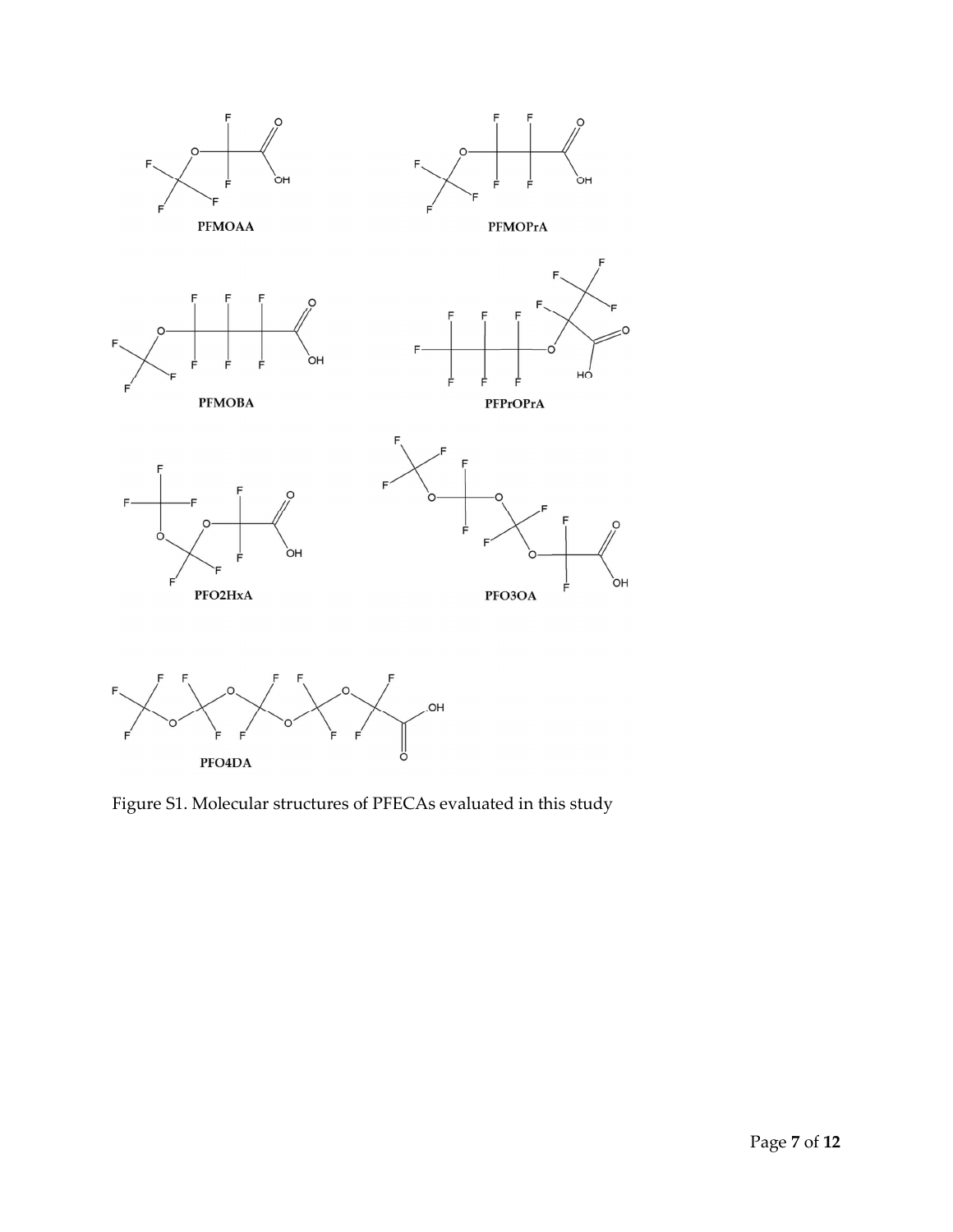

Figure S1. Molecular structures of PFECAs evaluated in this study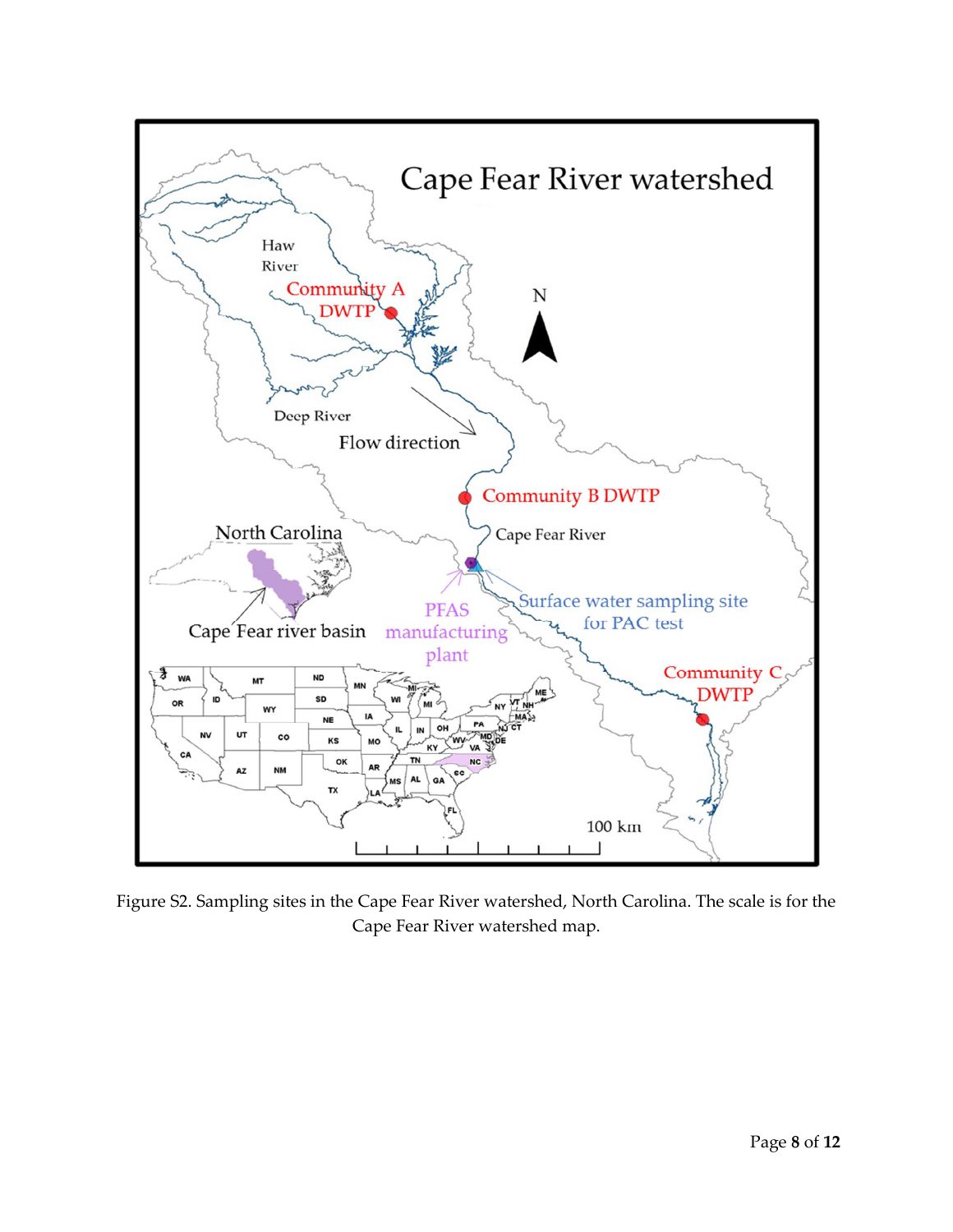

Figure S2. Sampling sites in the Cape Fear River watershed, North Carolina. The scale is for the Cape Fear River watershed map.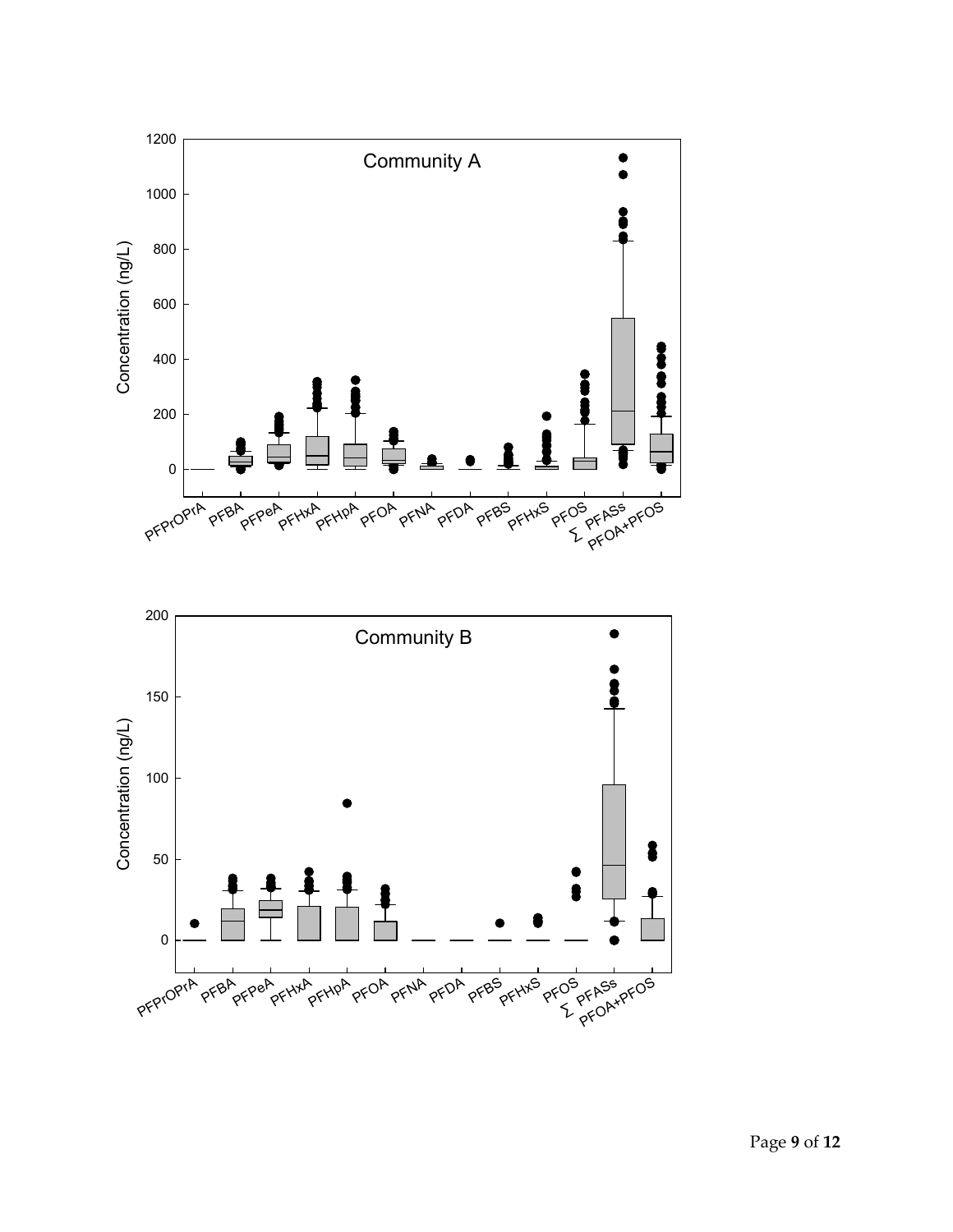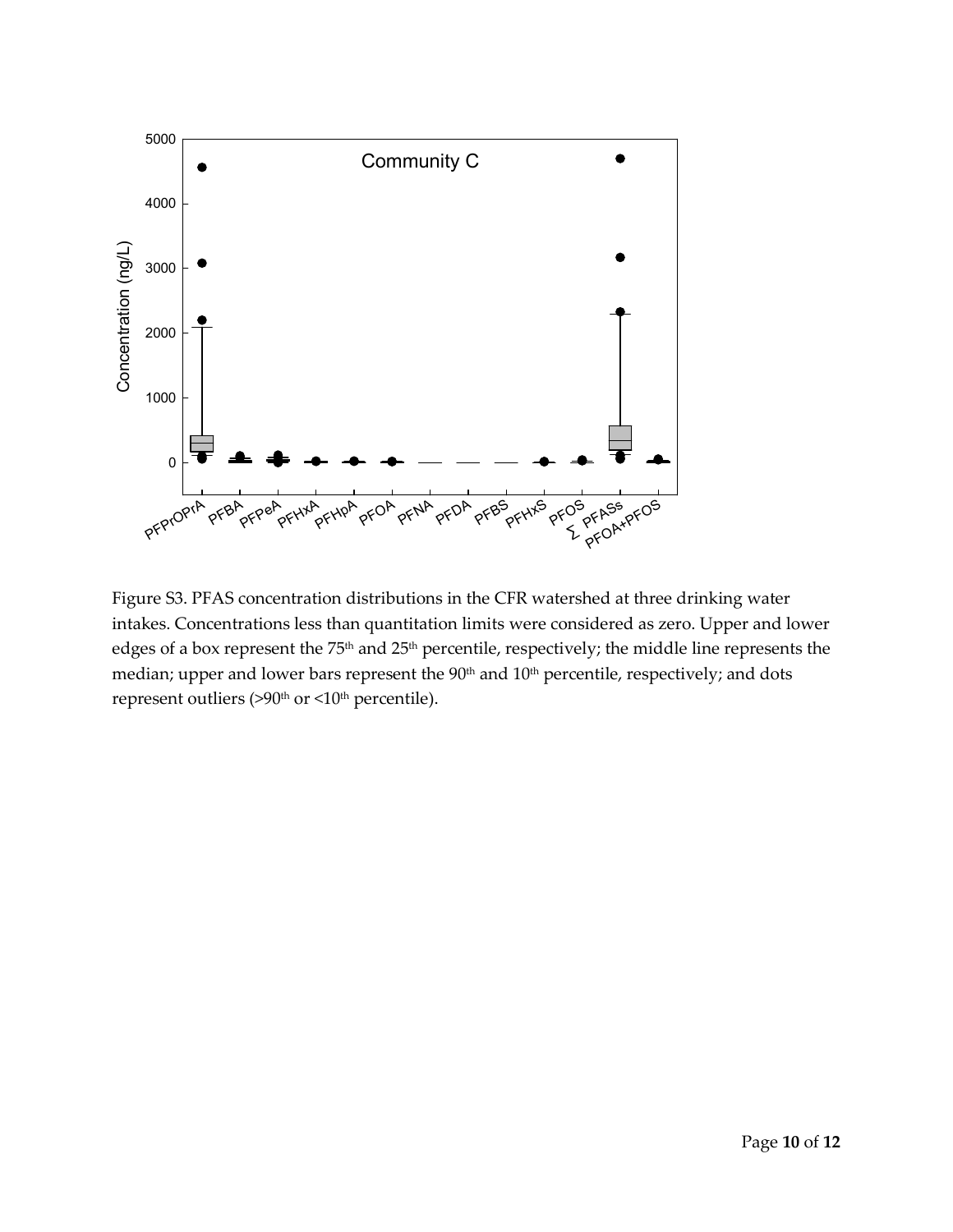

Figure S3. PFAS concentration distributions in the CFR watershed at three drinking water intakes. Concentrations less than quantitation limits were considered as zero. Upper and lower edges of a box represent the 75<sup>th</sup> and 25<sup>th</sup> percentile, respectively; the middle line represents the median; upper and lower bars represent the 90<sup>th</sup> and 10<sup>th</sup> percentile, respectively; and dots represent outliers (>90<sup>th</sup> or <10<sup>th</sup> percentile).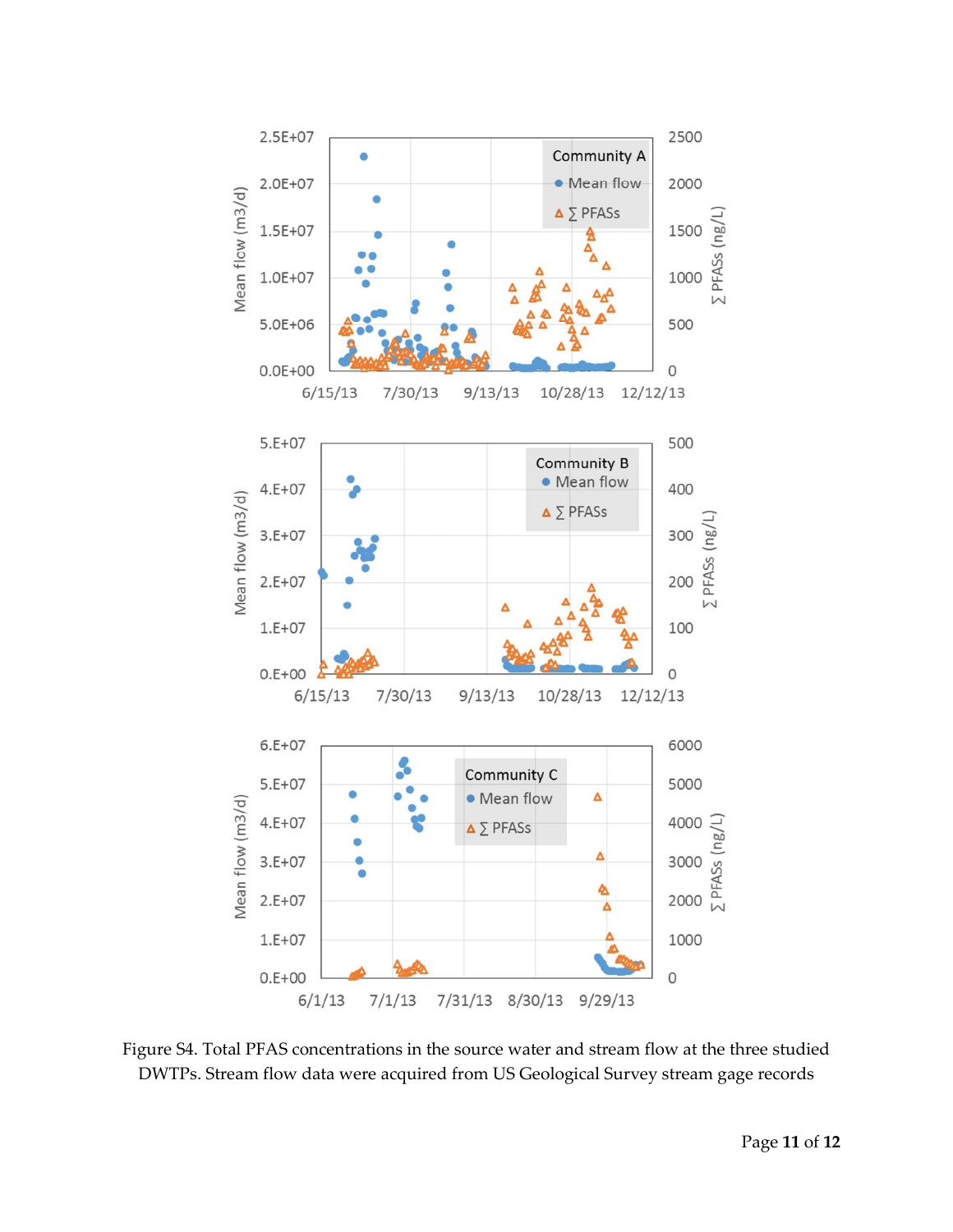

Figure S4. Total PFAS concentrations in the source water and stream flow at the three studied DWTPs. Stream flow data were acquired from US Geological Survey stream gage records